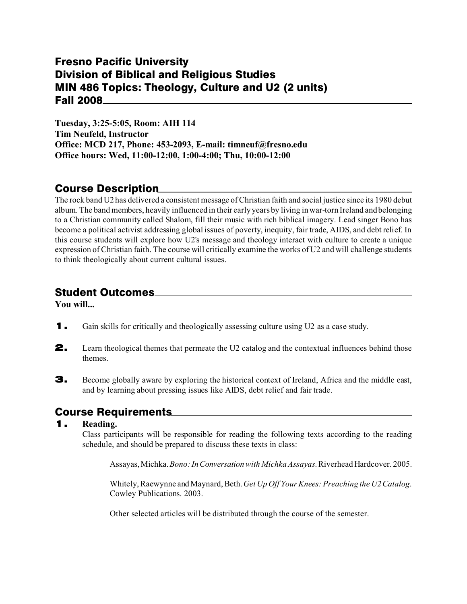# Fresno Pacific University Division of Biblical and Religious Studies MIN 486 Topics: Theology, Culture and U2 (2 units) Fall 2008

**Tuesday, 3:25-5:05, Room: AIH 114 Tim Neufeld, Instructor Office: MCD 217, Phone: 453-2093, E-mail: timneuf@fresno.edu Office hours: Wed, 11:00-12:00, 1:00-4:00; Thu, 10:00-12:00**

# Course Description

The rock band U2 has delivered a consistent message of Christian faith and social justice since its 1980 debut album. The band members, heavily influenced in their early years by living in war-torn Ireland and belonging to a Christian community called Shalom, fill their music with rich biblical imagery. Lead singer Bono has become a political activist addressing global issues of poverty, inequity, fair trade, AIDS, and debt relief. In this course students will explore how U2's message and theology interact with culture to create a unique expression of Christian faith. The course will critically examine the works of U2 and will challenge students to think theologically about current cultural issues.

# Student Outcomes

**You will...**

- 1. Gain skills for critically and theologically assessing culture using U2 as a case study.
- **2.** Learn theological themes that permeate the U2 catalog and the contextual influences behind those themes.
- 3. Become globally aware by exploring the historical context of Ireland, Africa and the middle east, and by learning about pressing issues like AIDS, debt relief and fair trade.

# Course Requirements

### 1. **Reading.**

Class participants will be responsible for reading the following texts according to the reading schedule, and should be prepared to discuss these texts in class:

Assayas, Michka. *Bono: In Conversation with Michka Assayas*. Riverhead Hardcover. 2005.

Whitely, Raewynne and Maynard, Beth.*Get Up Off Your Knees: Preaching the U2 Catalog*. Cowley Publications. 2003.

Other selected articles will be distributed through the course of the semester.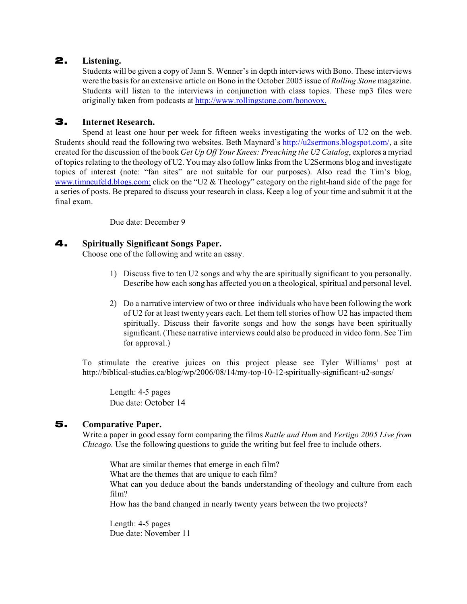### 2. **Listening.**

Students will be given a copy of Jann S. Wenner's in depth interviews with Bono. These interviews were the basis for an extensive article on Bono in the October 2005 issue of *Rolling Stone* magazine. Students will listen to the interviews in conjunction with class topics. These mp3 files were originally taken from podcasts at<http://www.rollingstone.com/bonovox.>

#### 3. **Internet Research.**

Spend at least one hour per week for fifteen weeks investigating the works of U2 on the web. Students should read the following two websites. Beth Maynard's [http://u2sermons.blogspot.com/](http://u2sermons.blogspot.com/,), a site created for the discussion of the book *Get Up Off Your Knees: Preaching the U2 Catalog*, explores a myriad of topics relating to the theology of U2. You may also follow links from the U2Sermons blog and investigate topics of interest (note: "fan sites" are not suitable for our purposes). Also read the Tim's blog, [www.timneufeld.blogs.com;](http://www.timneufeld.blogs.com;) click on the "U2 & Theology" category on the right-hand side of the page for a series of posts. Be prepared to discuss your research in class. Keep a log of your time and submit it at the final exam.

Due date: December 9

#### 4. **Spiritually Significant Songs Paper.**

Choose one of the following and write an essay.

- 1) Discuss five to ten U2 songs and why the are spiritually significant to you personally. Describe how each song has affected you on a theological, spiritual and personal level.
- 2) Do a narrative interview of two or three individuals who have been following the work of U2 for at least twenty years each. Let them tell stories of how U2 has impacted them spiritually. Discuss their favorite songs and how the songs have been spiritually significant. (These narrative interviews could also be produced in video form. See Tim for approval.)

To stimulate the creative juices on this project please see Tyler Williams' post at http://biblical-studies.ca/blog/wp/2006/08/14/my-top-10-12-spiritually-significant-u2-songs/

Length: 4-5 pages Due date: October 14

### 5. **Comparative Paper.**

Write a paper in good essay form comparing the films *Rattle and Hum* and *Vertigo 2005 Live from Chicago*. Use the following questions to guide the writing but feel free to include others.

What are similar themes that emerge in each film? What are the themes that are unique to each film? What can you deduce about the bands understanding of theology and culture from each film? How has the band changed in nearly twenty years between the two projects?

Length: 4-5 pages Due date: November 11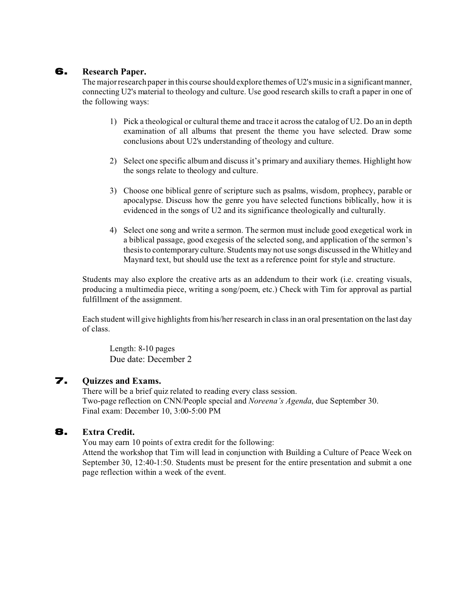#### 6. **Research Paper.**

The major research paper in this course should explore themes of U2's music in a significant manner, connecting U2's material to theology and culture. Use good research skills to craft a paper in one of the following ways:

- 1) Pick a theological or cultural theme and trace it across the catalog of U2. Do an in depth examination of all albums that present the theme you have selected. Draw some conclusions about U2's understanding of theology and culture.
- 2) Select one specific album and discuss it's primary and auxiliary themes. Highlight how the songs relate to theology and culture.
- 3) Choose one biblical genre of scripture such as psalms, wisdom, prophecy, parable or apocalypse. Discuss how the genre you have selected functions biblically, how it is evidenced in the songs of U2 and its significance theologically and culturally.
- 4) Select one song and write a sermon. The sermon must include good exegetical work in a biblical passage, good exegesis of the selected song, and application of the sermon's thesis to contemporary culture. Students may not use songs discussed in the Whitley and Maynard text, but should use the text as a reference point for style and structure.

Students may also explore the creative arts as an addendum to their work (i.e. creating visuals, producing a multimedia piece, writing a song/poem, etc.) Check with Tim for approval as partial fulfillment of the assignment.

Each student will give highlights from his/her research in class in an oral presentation on the last day of class.

Length: 8-10 pages Due date: December 2

#### 7. **Quizzes and Exams.**

There will be a brief quiz related to reading every class session. Two-page reflection on CNN/People special and *Noreena's Agenda*, due September 30. Final exam: December 10, 3:00-5:00 PM

### 8. **Extra Credit.**

You may earn 10 points of extra credit for the following:

Attend the workshop that Tim will lead in conjunction with Building a Culture of Peace Week on September 30, 12:40-1:50. Students must be present for the entire presentation and submit a one page reflection within a week of the event.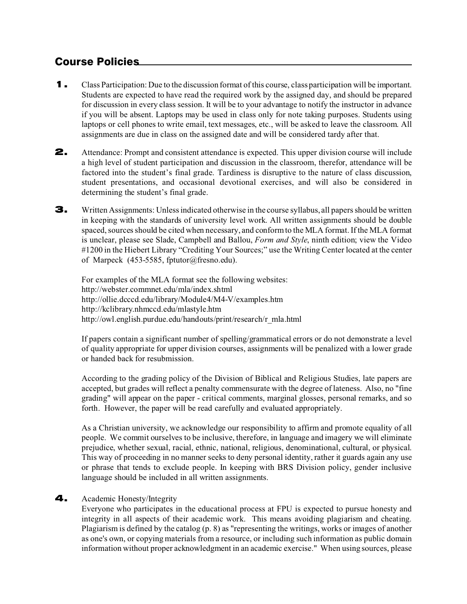# Course Policies

- 1. Class Participation: Due to the discussion format of this course, class participation will be important. Students are expected to have read the required work by the assigned day, and should be prepared for discussion in every class session. It will be to your advantage to notify the instructor in advance if you will be absent. Laptops may be used in class only for note taking purposes. Students using laptops or cell phones to write email, text messages, etc., will be asked to leave the classroom. All assignments are due in class on the assigned date and will be considered tardy after that.
- 2. Attendance: Prompt and consistent attendance is expected. This upper division course will include a high level of student participation and discussion in the classroom, therefor, attendance will be factored into the student's final grade. Tardiness is disruptive to the nature of class discussion, student presentations, and occasional devotional exercises, and will also be considered in determining the student's final grade.
- 3. Written Assignments: Unless indicated otherwise in the course syllabus, all papers should be written in keeping with the standards of university level work. All written assignments should be double spaced, sources should be cited when necessary, and conform to the MLA format. If the MLA format is unclear, please see Slade, Campbell and Ballou, *Form and Style*, ninth edition; view the Video #1200 in the Hiebert Library "Crediting Your Sources;" use the Writing Center located at the center of Marpeck (453-5585, fptutor@fresno.edu).

For examples of the MLA format see the following websites: <http://webster.commnet.edu/mla/index.shtml> <http://ollie.dcccd.edu/library/Module4/M4-V/examples.htm> <http://kclibrary.nhmccd.edu/mlastyle.htm> http://owl.english.purdue.edu/handouts/print/research/r\_mla.html

If papers contain a significant number of spelling/grammatical errors or do not demonstrate a level of quality appropriate for upper division courses, assignments will be penalized with a lower grade or handed back for resubmission.

According to the grading policy of the Division of Biblical and Religious Studies, late papers are accepted, but grades will reflect a penalty commensurate with the degree of lateness. Also, no "fine grading" will appear on the paper - critical comments, marginal glosses, personal remarks, and so forth. However, the paper will be read carefully and evaluated appropriately.

As a Christian university, we acknowledge our responsibility to affirm and promote equality of all people. We commit ourselves to be inclusive, therefore, in language and imagery we will eliminate prejudice, whether sexual, racial, ethnic, national, religious, denominational, cultural, or physical. This way of proceeding in no manner seeks to deny personal identity, rather it guards again any use or phrase that tends to exclude people. In keeping with BRS Division policy, gender inclusive language should be included in all written assignments.

#### 4. Academic Honesty/Integrity

Everyone who participates in the educational process at FPU is expected to pursue honesty and integrity in all aspects of their academic work. This means avoiding plagiarism and cheating. Plagiarism is defined by the catalog (p. 8) as "representing the writings, works or images of another as one's own, or copying materials from a resource, or including such information as public domain information without proper acknowledgment in an academic exercise." When using sources, please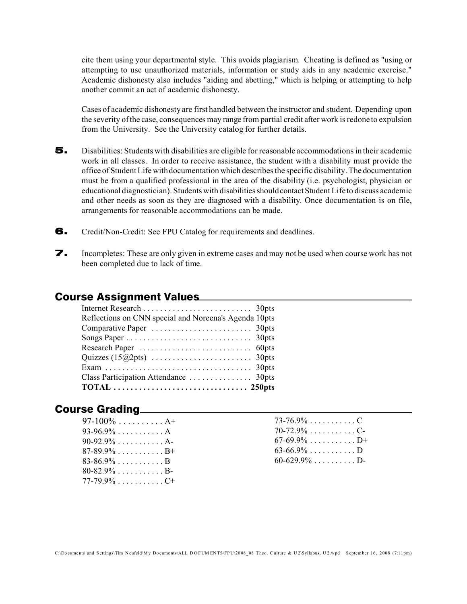cite them using your departmental style. This avoids plagiarism. Cheating is defined as "using or attempting to use unauthorized materials, information or study aids in any academic exercise." Academic dishonesty also includes "aiding and abetting," which is helping or attempting to help another commit an act of academic dishonesty.

Cases of academic dishonesty are first handled between the instructor and student. Depending upon the severity of the case, consequences may range from partial credit after work is redone to expulsion from the University. See the University catalog for further details.

- 5. Disabilities: Students with disabilities are eligible for reasonable accommodations in their academic work in all classes. In order to receive assistance, the student with a disability must provide the office of Student Life with documentation which describes the specific disability. The documentation must be from a qualified professional in the area of the disability (i.e. psychologist, physician or educational diagnostician). Students with disabilitiesshouldcontactStudent Life to discuss academic and other needs as soon as they are diagnosed with a disability. Once documentation is on file, arrangements for reasonable accommodations can be made.
- 6. Credit/Non-Credit: See FPU Catalog for requirements and deadlines.
- 7. Incompletes: These are only given in extreme cases and may not be used when course work has not been completed due to lack of time.

### Course Assignment Values

| Reflections on CNN special and Noreena's Agenda 10pts |
|-------------------------------------------------------|
|                                                       |
|                                                       |
|                                                       |
|                                                       |
|                                                       |
|                                                       |
|                                                       |
|                                                       |

### Course Grading

| 97-100% A+                                    |  |
|-----------------------------------------------|--|
| $93-96.9\% \ldots \ldots \ldots A$            |  |
| $90-92.9\% \ldots \ldots \ldots A$ -          |  |
| $87 - 89.9\% \ldots \ldots \ldots B+$         |  |
| $83 - 86.9\% \ldots \ldots \ldots B$          |  |
| $80 - 82.9\% \ldots \ldots \ldots B$          |  |
| $77 - 79.9\% \ldots \ldots \ldots \ldots C^+$ |  |

| 73-76.9% C                                   |  |  |  |  |  |  |
|----------------------------------------------|--|--|--|--|--|--|
| $70 - 72.9\% \ldots \ldots \ldots \ldots C-$ |  |  |  |  |  |  |
| 67-69.9% D+                                  |  |  |  |  |  |  |
| 63-66.9% D                                   |  |  |  |  |  |  |
| $60 - 629.9\% \ldots \ldots \ldots D$        |  |  |  |  |  |  |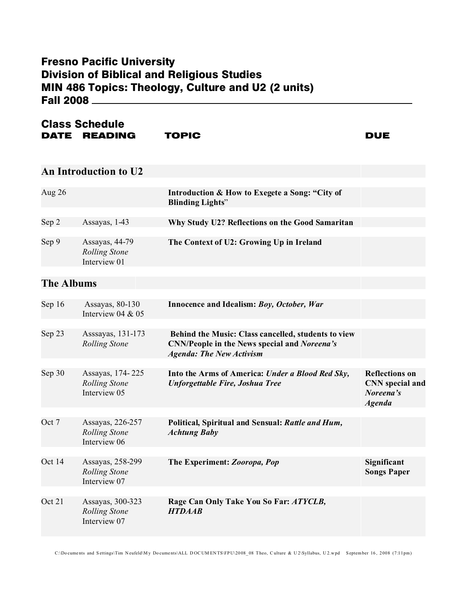# Fresno Pacific University Division of Biblical and Religious Studies MIN 486 Topics: Theology, Culture and U2 (2 units) Fall 2008

### Class Schedule DATE READING TOPIC DUE

### **An Introduction to U2**

| Aug $26$ |                                                        | Introduction & How to Exegete a Song: "City of<br><b>Blinding Lights"</b> |
|----------|--------------------------------------------------------|---------------------------------------------------------------------------|
|          |                                                        |                                                                           |
| Sep 2    | Assayas, $1-43$                                        | Why Study U2? Reflections on the Good Samaritan                           |
|          |                                                        |                                                                           |
| Sep 9    | Assayas, 44-79<br><b>Rolling Stone</b><br>Interview 01 | The Context of U2: Growing Up in Ireland                                  |

# **The Albums**

| Sep 16 | Assayas, 80-130                                          | Innocence and Idealism: Boy, October, War                                                                                                     |                                                                               |
|--------|----------------------------------------------------------|-----------------------------------------------------------------------------------------------------------------------------------------------|-------------------------------------------------------------------------------|
|        | Interview 04 & 05                                        |                                                                                                                                               |                                                                               |
|        |                                                          |                                                                                                                                               |                                                                               |
| Sep 23 | Asssayas, 131-173<br><b>Rolling Stone</b>                | Behind the Music: Class cancelled, students to view<br><b>CNN/People in the News special and Noreena's</b><br><b>Agenda: The New Activism</b> |                                                                               |
|        |                                                          |                                                                                                                                               |                                                                               |
| Sep 30 | Assayas, 174-225<br><b>Rolling Stone</b><br>Interview 05 | Into the Arms of America: Under a Blood Red Sky,<br><b>Unforgettable Fire, Joshua Tree</b>                                                    | <b>Reflections on</b><br><b>CNN</b> special and<br>Noreena's<br><b>Agenda</b> |
|        |                                                          |                                                                                                                                               |                                                                               |
| Oct 7  | Assayas, 226-257<br><b>Rolling Stone</b><br>Interview 06 | Political, Spiritual and Sensual: Rattle and Hum,<br><b>Achtung Baby</b>                                                                      |                                                                               |
|        |                                                          |                                                                                                                                               |                                                                               |
| Oct 14 | Assayas, 258-299<br><b>Rolling Stone</b><br>Interview 07 | The Experiment: Zooropa, Pop                                                                                                                  | Significant<br><b>Songs Paper</b>                                             |
|        |                                                          |                                                                                                                                               |                                                                               |
| Oct 21 | Assayas, 300-323<br><b>Rolling Stone</b><br>Interview 07 | Rage Can Only Take You So Far: ATYCLB,<br><b>HTDAAB</b>                                                                                       |                                                                               |

C:\Do cume nts and S ettings\Tim N eufeld\M y Do cume nts\ALL D OC UM EN TS\FPU\20 08\_ 08 Theo, C ulture & U 2\Syllabus, U 2.w pd S eptem ber 16 , 2008 (7:11pm)